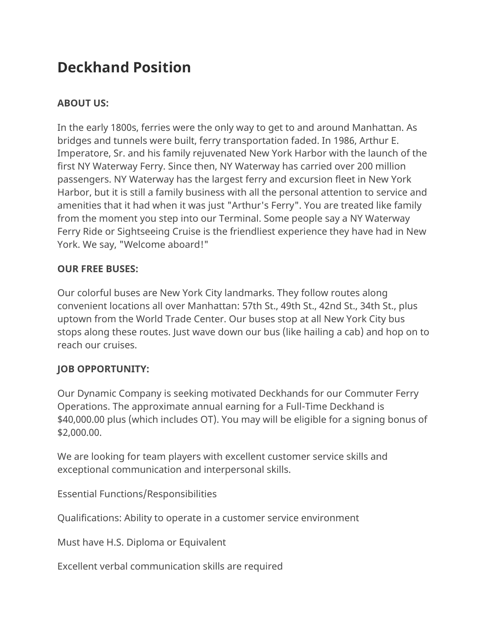# **Deckhand Position**

# **ABOUT US:**

In the early 1800s, ferries were the only way to get to and around Manhattan. As bridges and tunnels were built, ferry transportation faded. In 1986, Arthur E. Imperatore, Sr. and his family rejuvenated New York Harbor with the launch of the first NY Waterway Ferry. Since then, NY Waterway has carried over 200 million passengers. NY Waterway has the largest ferry and excursion fleet in New York Harbor, but it is still a family business with all the personal attention to service and amenities that it had when it was just "Arthur's Ferry". You are treated like family from the moment you step into our Terminal. Some people say a NY Waterway Ferry Ride or Sightseeing Cruise is the friendliest experience they have had in New York. We say, "Welcome aboard!"

#### **OUR FREE BUSES:**

Our colorful buses are New York City landmarks. They follow routes along convenient locations all over Manhattan: 57th St., 49th St., 42nd St., 34th St., plus uptown from the World Trade Center. Our buses stop at all New York City bus stops along these routes. Just wave down our bus (like hailing a cab) and hop on to reach our cruises.

### **JOB OPPORTUNITY:**

Our Dynamic Company is seeking motivated Deckhands for our Commuter Ferry Operations. The approximate annual earning for a Full-Time Deckhand is \$40,000.00 plus (which includes OT). You may will be eligible for a signing bonus of \$2,000.00.

We are looking for team players with excellent customer service skills and exceptional communication and interpersonal skills.

Essential Functions/Responsibilities

Qualifications: Ability to operate in a customer service environment

Must have H.S. Diploma or Equivalent

Excellent verbal communication skills are required